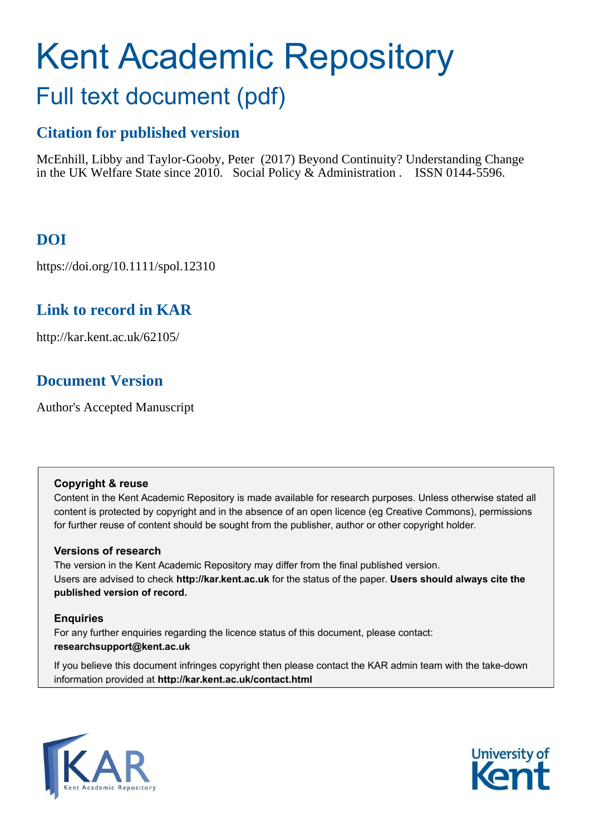# Kent Academic Repository Full text document (pdf)

## **Citation for published version**

McEnhill, Libby and Taylor-Gooby, Peter (2017) Beyond Continuity? Understanding Change in the UK Welfare State since 2010. Social Policy & Administration . ISSN 0144-5596.

## **DOI**

https://doi.org/10.1111/spol.12310

## **Link to record in KAR**

http://kar.kent.ac.uk/62105/

## **Document Version**

Author's Accepted Manuscript

#### **Copyright & reuse**

Content in the Kent Academic Repository is made available for research purposes. Unless otherwise stated all content is protected by copyright and in the absence of an open licence (eg Creative Commons), permissions for further reuse of content should be sought from the publisher, author or other copyright holder.

#### **Versions of research**

The version in the Kent Academic Repository may differ from the final published version. Users are advised to check **http://kar.kent.ac.uk** for the status of the paper. **Users should always cite the published version of record.**

#### **Enquiries**

For any further enquiries regarding the licence status of this document, please contact: **researchsupport@kent.ac.uk**

If you believe this document infringes copyright then please contact the KAR admin team with the take-down information provided at **http://kar.kent.ac.uk/contact.html**



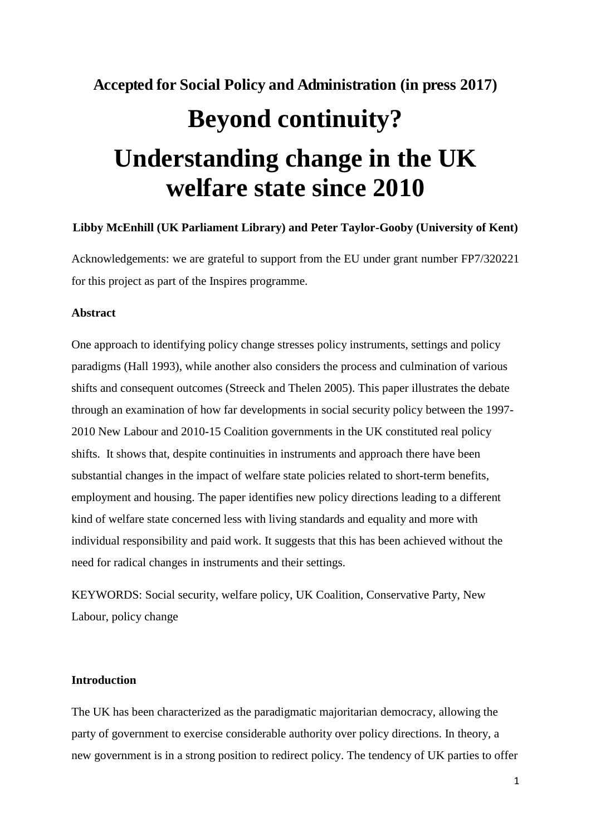## **Accepted for Social Policy and Administration (in press 2017) Beyond continuity? Understanding change in the UK welfare state since 2010**

#### **Libby McEnhill (UK Parliament Library) and Peter Taylor-Gooby (University of Kent)**

Acknowledgements: we are grateful to support from the EU under grant number FP7/320221 for this project as part of the Inspires programme.

#### **Abstract**

One approach to identifying policy change stresses policy instruments, settings and policy paradigms (Hall 1993), while another also considers the process and culmination of various shifts and consequent outcomes (Streeck and Thelen 2005). This paper illustrates the debate through an examination of how far developments in social security policy between the 1997- 2010 New Labour and 2010-15 Coalition governments in the UK constituted real policy shifts. It shows that, despite continuities in instruments and approach there have been substantial changes in the impact of welfare state policies related to short-term benefits, employment and housing. The paper identifies new policy directions leading to a different kind of welfare state concerned less with living standards and equality and more with individual responsibility and paid work. It suggests that this has been achieved without the need for radical changes in instruments and their settings.

KEYWORDS: Social security, welfare policy, UK Coalition, Conservative Party, New Labour, policy change

#### **Introduction**

The UK has been characterized as the paradigmatic majoritarian democracy, allowing the party of government to exercise considerable authority over policy directions. In theory, a new government is in a strong position to redirect policy. The tendency of UK parties to offer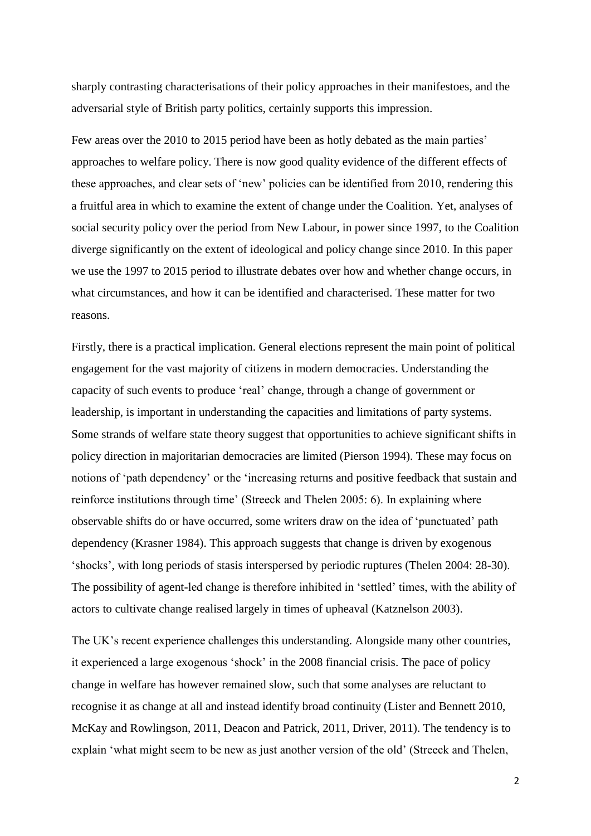sharply contrasting characterisations of their policy approaches in their manifestoes, and the adversarial style of British party politics, certainly supports this impression.

Few areas over the 2010 to 2015 period have been as hotly debated as the main parties' approaches to welfare policy. There is now good quality evidence of the different effects of these approaches, and clear sets of 'new' policies can be identified from 2010, rendering this a fruitful area in which to examine the extent of change under the Coalition. Yet, analyses of social security policy over the period from New Labour, in power since 1997, to the Coalition diverge significantly on the extent of ideological and policy change since 2010. In this paper we use the 1997 to 2015 period to illustrate debates over how and whether change occurs, in what circumstances, and how it can be identified and characterised. These matter for two reasons.

Firstly, there is a practical implication. General elections represent the main point of political engagement for the vast majority of citizens in modern democracies. Understanding the capacity of such events to produce 'real' change, through a change of government or leadership, is important in understanding the capacities and limitations of party systems. Some strands of welfare state theory suggest that opportunities to achieve significant shifts in policy direction in majoritarian democracies are limited (Pierson 1994). These may focus on notions of 'path dependency' or the 'increasing returns and positive feedback that sustain and reinforce institutions through time' (Streeck and Thelen 2005: 6). In explaining where observable shifts do or have occurred, some writers draw on the idea of 'punctuated' path dependency (Krasner 1984). This approach suggests that change is driven by exogenous 'shocks', with long periods of stasis interspersed by periodic ruptures (Thelen 2004: 28-30). The possibility of agent-led change is therefore inhibited in 'settled' times, with the ability of actors to cultivate change realised largely in times of upheaval (Katznelson 2003).

The UK's recent experience challenges this understanding. Alongside many other countries, it experienced a large exogenous 'shock' in the 2008 financial crisis. The pace of policy change in welfare has however remained slow, such that some analyses are reluctant to recognise it as change at all and instead identify broad continuity (Lister and Bennett 2010, McKay and Rowlingson, 2011, Deacon and Patrick, 2011, Driver, 2011). The tendency is to explain 'what might seem to be new as just another version of the old' (Streeck and Thelen,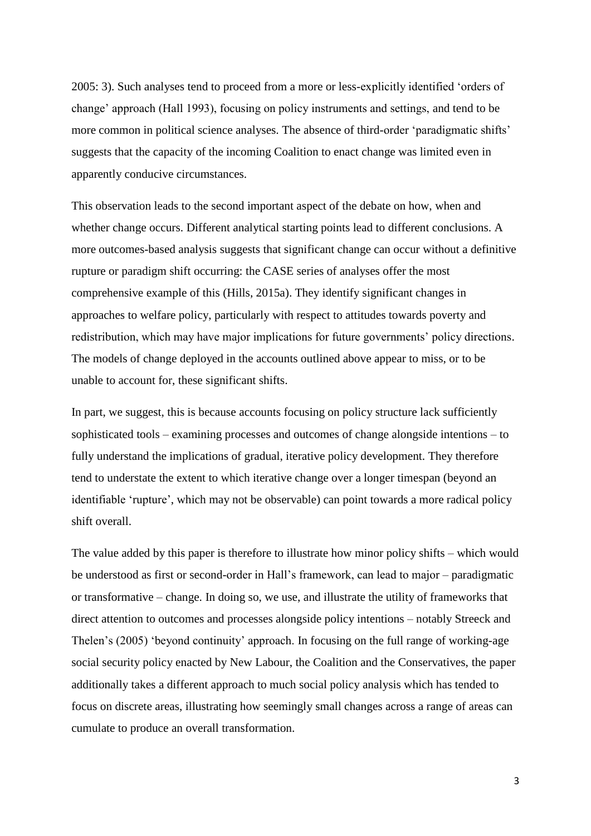2005: 3). Such analyses tend to proceed from a more or less-explicitly identified 'orders of change' approach (Hall 1993), focusing on policy instruments and settings, and tend to be more common in political science analyses. The absence of third-order 'paradigmatic shifts' suggests that the capacity of the incoming Coalition to enact change was limited even in apparently conducive circumstances.

This observation leads to the second important aspect of the debate on how, when and whether change occurs. Different analytical starting points lead to different conclusions. A more outcomes-based analysis suggests that significant change can occur without a definitive rupture or paradigm shift occurring: the CASE series of analyses offer the most comprehensive example of this (Hills, 2015a). They identify significant changes in approaches to welfare policy, particularly with respect to attitudes towards poverty and redistribution, which may have major implications for future governments' policy directions. The models of change deployed in the accounts outlined above appear to miss, or to be unable to account for, these significant shifts.

In part, we suggest, this is because accounts focusing on policy structure lack sufficiently sophisticated tools – examining processes and outcomes of change alongside intentions – to fully understand the implications of gradual, iterative policy development. They therefore tend to understate the extent to which iterative change over a longer timespan (beyond an identifiable 'rupture', which may not be observable) can point towards a more radical policy shift overall.

The value added by this paper is therefore to illustrate how minor policy shifts – which would be understood as first or second-order in Hall's framework, can lead to major – paradigmatic or transformative – change. In doing so, we use, and illustrate the utility of frameworks that direct attention to outcomes and processes alongside policy intentions – notably Streeck and Thelen's (2005) 'beyond continuity' approach. In focusing on the full range of working-age social security policy enacted by New Labour, the Coalition and the Conservatives, the paper additionally takes a different approach to much social policy analysis which has tended to focus on discrete areas, illustrating how seemingly small changes across a range of areas can cumulate to produce an overall transformation.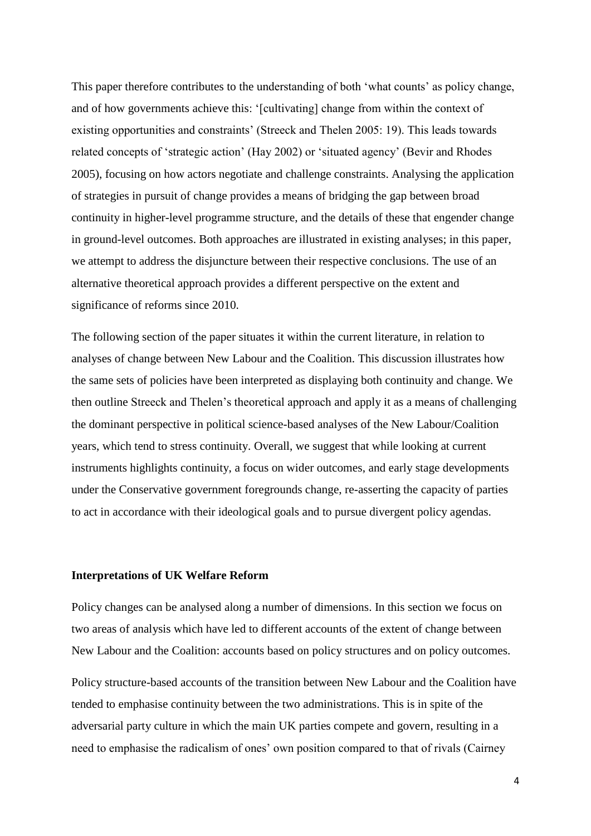This paper therefore contributes to the understanding of both 'what counts' as policy change, and of how governments achieve this: '[cultivating] change from within the context of existing opportunities and constraints' (Streeck and Thelen 2005: 19). This leads towards related concepts of 'strategic action' (Hay 2002) or 'situated agency' (Bevir and Rhodes 2005), focusing on how actors negotiate and challenge constraints. Analysing the application of strategies in pursuit of change provides a means of bridging the gap between broad continuity in higher-level programme structure, and the details of these that engender change in ground-level outcomes. Both approaches are illustrated in existing analyses; in this paper, we attempt to address the disjuncture between their respective conclusions. The use of an alternative theoretical approach provides a different perspective on the extent and significance of reforms since 2010.

The following section of the paper situates it within the current literature, in relation to analyses of change between New Labour and the Coalition. This discussion illustrates how the same sets of policies have been interpreted as displaying both continuity and change. We then outline Streeck and Thelen's theoretical approach and apply it as a means of challenging the dominant perspective in political science-based analyses of the New Labour/Coalition years, which tend to stress continuity. Overall, we suggest that while looking at current instruments highlights continuity, a focus on wider outcomes, and early stage developments under the Conservative government foregrounds change, re-asserting the capacity of parties to act in accordance with their ideological goals and to pursue divergent policy agendas.

#### **Interpretations of UK Welfare Reform**

Policy changes can be analysed along a number of dimensions. In this section we focus on two areas of analysis which have led to different accounts of the extent of change between New Labour and the Coalition: accounts based on policy structures and on policy outcomes.

Policy structure-based accounts of the transition between New Labour and the Coalition have tended to emphasise continuity between the two administrations. This is in spite of the adversarial party culture in which the main UK parties compete and govern, resulting in a need to emphasise the radicalism of ones' own position compared to that of rivals (Cairney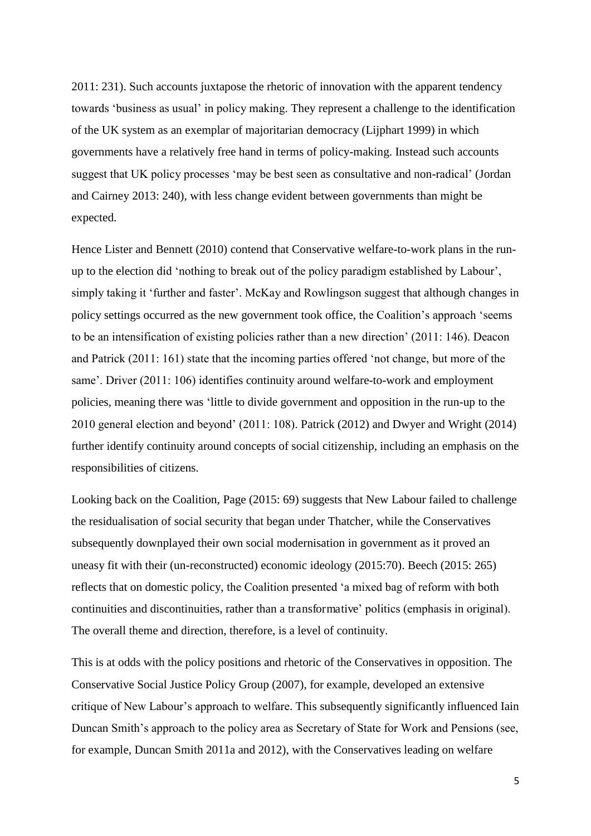2011: 231). Such accounts juxtapose the rhetoric of innovation with the apparent tendency towards 'business as usual' in policy making. They represent a challenge to the identification of the UK system as an exemplar of majoritarian democracy (Lijphart 1999) in which governments have a relatively free hand in terms of policy-making. Instead such accounts suggest that UK policy processes 'may be best seen as consultative and non-radical' (Jordan and Cairney 2013: 240), with less change evident between governments than might be expected.

Hence Lister and Bennett (2010) contend that Conservative welfare-to-work plans in the runup to the election did 'nothing to break out of the policy paradigm established by Labour', simply taking it 'further and faster'. McKay and Rowlingson suggest that although changes in policy settings occurred as the new government took office, the Coalition's approach 'seems to be an intensification of existing policies rather than a new direction' (2011: 146). Deacon and Patrick (2011: 161) state that the incoming parties offered 'not change, but more of the same'. Driver (2011: 106) identifies continuity around welfare-to-work and employment policies, meaning there was 'little to divide government and opposition in the run-up to the 2010 general election and beyond' (2011: 108). Patrick (2012) and Dwyer and Wright (2014) further identify continuity around concepts of social citizenship, including an emphasis on the responsibilities of citizens.

Looking back on the Coalition, Page (2015: 69) suggests that New Labour failed to challenge the residualisation of social security that began under Thatcher, while the Conservatives subsequently downplayed their own social modernisation in government as it proved an uneasy fit with their (un-reconstructed) economic ideology (2015:70). Beech (2015: 265) reflects that on domestic policy, the Coalition presented 'a mixed bag of reform with both continuities and discontinuities, rather than a transformative' politics (emphasis in original). The overall theme and direction, therefore, is a level of continuity.

This is at odds with the policy positions and rhetoric of the Conservatives in opposition. The Conservative Social Justice Policy Group (2007), for example, developed an extensive critique of New Labour's approach to welfare. This subsequently significantly influenced Iain Duncan Smith's approach to the policy area as Secretary of State for Work and Pensions (see, for example, Duncan Smith 2011a and 2012), with the Conservatives leading on welfare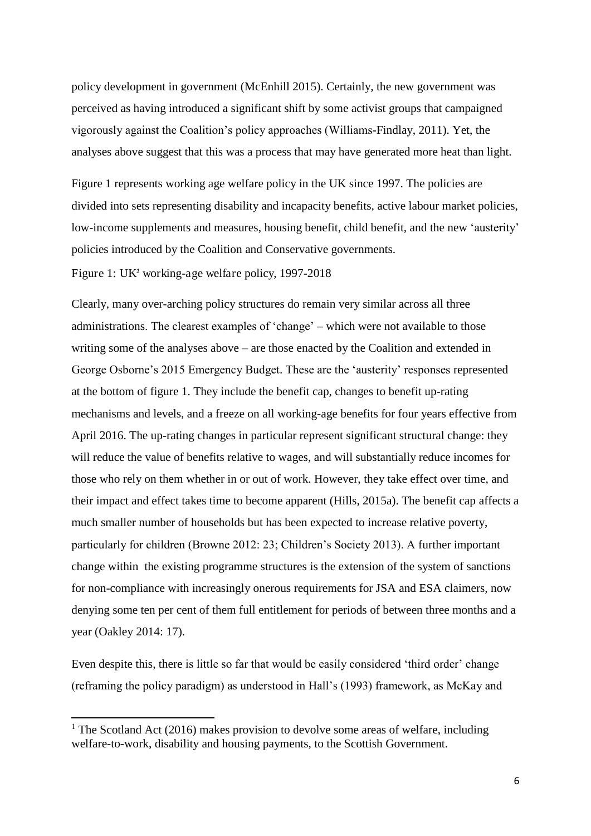policy development in government (McEnhill 2015). Certainly, the new government was perceived as having introduced a significant shift by some activist groups that campaigned vigorously against the Coalition's policy approaches (Williams-Findlay, 2011). Yet, the analyses above suggest that this was a process that may have generated more heat than light.

Figure 1 represents working age welfare policy in the UK since 1997. The policies are divided into sets representing disability and incapacity benefits, active labour market policies, low-income supplements and measures, housing benefit, child benefit, and the new 'austerity' policies introduced by the Coalition and Conservative governments.

Figure 1: UK<sup>1</sup> working-age welfare policy, 1997-2018

Clearly, many over-arching policy structures do remain very similar across all three administrations. The clearest examples of 'change' – which were not available to those writing some of the analyses above – are those enacted by the Coalition and extended in George Osborne's 2015 Emergency Budget. These are the 'austerity' responses represented at the bottom of figure 1. They include the benefit cap, changes to benefit up-rating mechanisms and levels, and a freeze on all working-age benefits for four years effective from April 2016. The up-rating changes in particular represent significant structural change: they will reduce the value of benefits relative to wages, and will substantially reduce incomes for those who rely on them whether in or out of work. However, they take effect over time, and their impact and effect takes time to become apparent (Hills, 2015a). The benefit cap affects a much smaller number of households but has been expected to increase relative poverty, particularly for children (Browne 2012: 23; Children's Society 2013). A further important change within the existing programme structures is the extension of the system of sanctions for non-compliance with increasingly onerous requirements for JSA and ESA claimers, now denying some ten per cent of them full entitlement for periods of between three months and a year (Oakley 2014: 17).

Even despite this, there is little so far that would be easily considered 'third order' change (reframing the policy paradigm) as understood in Hall's (1993) framework, as McKay and

 $\overline{a}$ 

<sup>&</sup>lt;sup>1</sup> The Scotland Act (2016) makes provision to devolve some areas of welfare, including welfare-to-work, disability and housing payments, to the Scottish Government.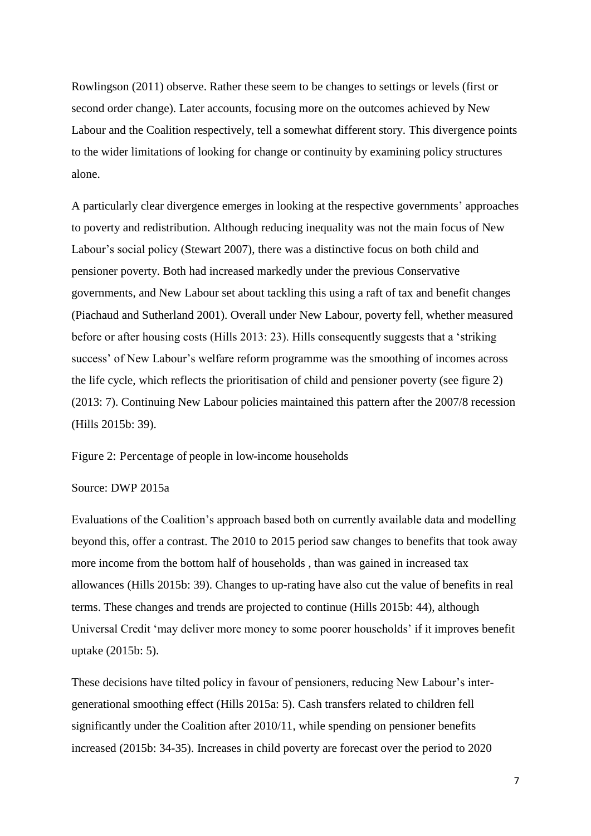Rowlingson (2011) observe. Rather these seem to be changes to settings or levels (first or second order change). Later accounts, focusing more on the outcomes achieved by New Labour and the Coalition respectively, tell a somewhat different story. This divergence points to the wider limitations of looking for change or continuity by examining policy structures alone.

A particularly clear divergence emerges in looking at the respective governments' approaches to poverty and redistribution. Although reducing inequality was not the main focus of New Labour's social policy (Stewart 2007), there was a distinctive focus on both child and pensioner poverty. Both had increased markedly under the previous Conservative governments, and New Labour set about tackling this using a raft of tax and benefit changes (Piachaud and Sutherland 2001). Overall under New Labour, poverty fell, whether measured before or after housing costs (Hills 2013: 23). Hills consequently suggests that a 'striking success' of New Labour's welfare reform programme was the smoothing of incomes across the life cycle, which reflects the prioritisation of child and pensioner poverty (see figure 2) (2013: 7). Continuing New Labour policies maintained this pattern after the 2007/8 recession (Hills 2015b: 39).

Figure 2: Percentage of people in low-income households

#### Source: DWP 2015a

Evaluations of the Coalition's approach based both on currently available data and modelling beyond this, offer a contrast. The 2010 to 2015 period saw changes to benefits that took away more income from the bottom half of households , than was gained in increased tax allowances (Hills 2015b: 39). Changes to up-rating have also cut the value of benefits in real terms. These changes and trends are projected to continue (Hills 2015b: 44), although Universal Credit 'may deliver more money to some poorer households' if it improves benefit uptake (2015b: 5).

These decisions have tilted policy in favour of pensioners, reducing New Labour's intergenerational smoothing effect (Hills 2015a: 5). Cash transfers related to children fell significantly under the Coalition after 2010/11, while spending on pensioner benefits increased (2015b: 34-35). Increases in child poverty are forecast over the period to 2020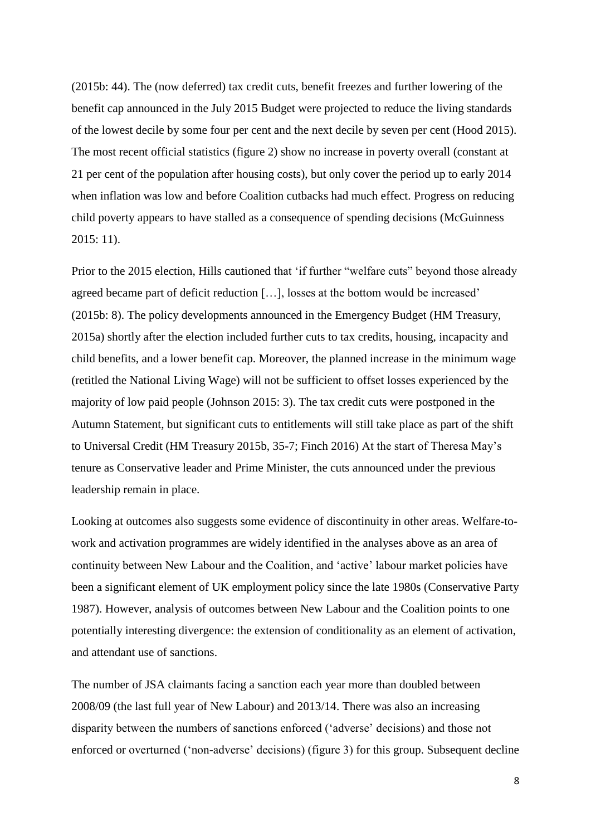(2015b: 44). The (now deferred) tax credit cuts, benefit freezes and further lowering of the benefit cap announced in the July 2015 Budget were projected to reduce the living standards of the lowest decile by some four per cent and the next decile by seven per cent (Hood 2015). The most recent official statistics (figure 2) show no increase in poverty overall (constant at 21 per cent of the population after housing costs), but only cover the period up to early 2014 when inflation was low and before Coalition cutbacks had much effect. Progress on reducing child poverty appears to have stalled as a consequence of spending decisions (McGuinness 2015: 11).

Prior to the 2015 election, Hills cautioned that 'if further "welfare cuts" beyond those already agreed became part of deficit reduction […], losses at the bottom would be increased' (2015b: 8). The policy developments announced in the Emergency Budget (HM Treasury, 2015a) shortly after the election included further cuts to tax credits, housing, incapacity and child benefits, and a lower benefit cap. Moreover, the planned increase in the minimum wage (retitled the National Living Wage) will not be sufficient to offset losses experienced by the majority of low paid people (Johnson 2015: 3). The tax credit cuts were postponed in the Autumn Statement, but significant cuts to entitlements will still take place as part of the shift to Universal Credit (HM Treasury 2015b, 35-7; Finch 2016) At the start of Theresa May's tenure as Conservative leader and Prime Minister, the cuts announced under the previous leadership remain in place.

Looking at outcomes also suggests some evidence of discontinuity in other areas. Welfare-towork and activation programmes are widely identified in the analyses above as an area of continuity between New Labour and the Coalition, and 'active' labour market policies have been a significant element of UK employment policy since the late 1980s (Conservative Party 1987). However, analysis of outcomes between New Labour and the Coalition points to one potentially interesting divergence: the extension of conditionality as an element of activation, and attendant use of sanctions.

The number of JSA claimants facing a sanction each year more than doubled between 2008/09 (the last full year of New Labour) and 2013/14. There was also an increasing disparity between the numbers of sanctions enforced ('adverse' decisions) and those not enforced or overturned ('non-adverse' decisions) (figure 3) for this group. Subsequent decline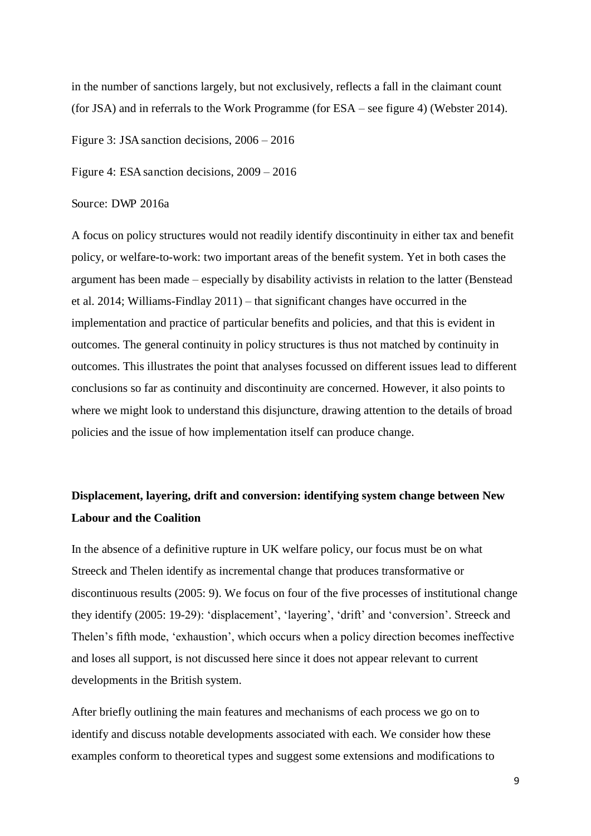in the number of sanctions largely, but not exclusively, reflects a fall in the claimant count (for JSA) and in referrals to the Work Programme (for ESA – see figure 4) (Webster 2014).

Figure 3: JSA sanction decisions, 2006 *–* 2016

Figure 4: ESA sanction decisions, 2009 *–* 2016

#### Source: DWP 2016a

A focus on policy structures would not readily identify discontinuity in either tax and benefit policy, or welfare-to-work: two important areas of the benefit system. Yet in both cases the argument has been made – especially by disability activists in relation to the latter (Benstead et al. 2014; Williams-Findlay 2011) – that significant changes have occurred in the implementation and practice of particular benefits and policies, and that this is evident in outcomes. The general continuity in policy structures is thus not matched by continuity in outcomes. This illustrates the point that analyses focussed on different issues lead to different conclusions so far as continuity and discontinuity are concerned. However, it also points to where we might look to understand this disjuncture, drawing attention to the details of broad policies and the issue of how implementation itself can produce change.

### **Displacement, layering, drift and conversion: identifying system change between New Labour and the Coalition**

In the absence of a definitive rupture in UK welfare policy, our focus must be on what Streeck and Thelen identify as incremental change that produces transformative or discontinuous results (2005: 9). We focus on four of the five processes of institutional change they identify (2005: 19-29): 'displacement', 'layering', 'drift' and 'conversion'. Streeck and Thelen's fifth mode, 'exhaustion', which occurs when a policy direction becomes ineffective and loses all support, is not discussed here since it does not appear relevant to current developments in the British system.

After briefly outlining the main features and mechanisms of each process we go on to identify and discuss notable developments associated with each. We consider how these examples conform to theoretical types and suggest some extensions and modifications to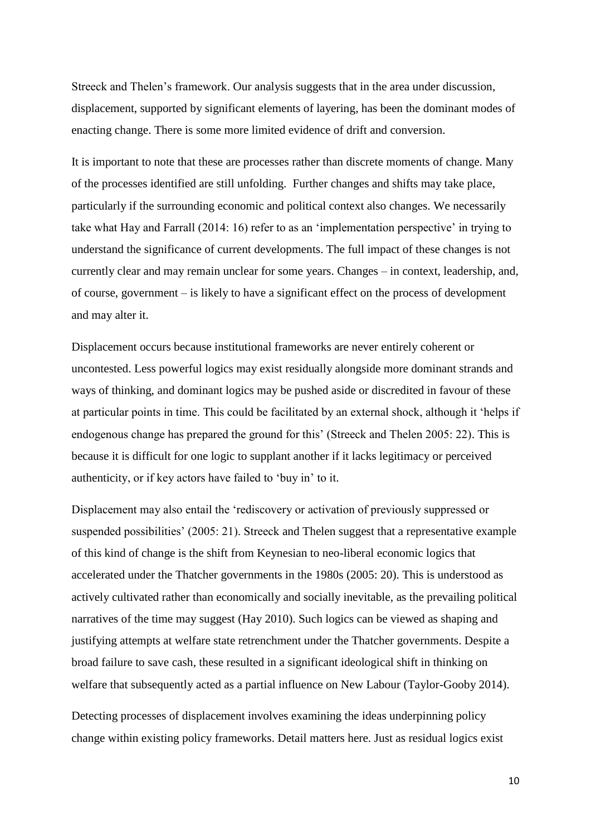Streeck and Thelen's framework. Our analysis suggests that in the area under discussion, displacement, supported by significant elements of layering, has been the dominant modes of enacting change. There is some more limited evidence of drift and conversion.

It is important to note that these are processes rather than discrete moments of change. Many of the processes identified are still unfolding. Further changes and shifts may take place, particularly if the surrounding economic and political context also changes. We necessarily take what Hay and Farrall (2014: 16) refer to as an 'implementation perspective' in trying to understand the significance of current developments. The full impact of these changes is not currently clear and may remain unclear for some years. Changes – in context, leadership, and, of course, government – is likely to have a significant effect on the process of development and may alter it.

Displacement occurs because institutional frameworks are never entirely coherent or uncontested. Less powerful logics may exist residually alongside more dominant strands and ways of thinking, and dominant logics may be pushed aside or discredited in favour of these at particular points in time. This could be facilitated by an external shock, although it 'helps if endogenous change has prepared the ground for this' (Streeck and Thelen 2005: 22). This is because it is difficult for one logic to supplant another if it lacks legitimacy or perceived authenticity, or if key actors have failed to 'buy in' to it.

Displacement may also entail the 'rediscovery or activation of previously suppressed or suspended possibilities' (2005: 21). Streeck and Thelen suggest that a representative example of this kind of change is the shift from Keynesian to neo-liberal economic logics that accelerated under the Thatcher governments in the 1980s (2005: 20). This is understood as actively cultivated rather than economically and socially inevitable, as the prevailing political narratives of the time may suggest (Hay 2010). Such logics can be viewed as shaping and justifying attempts at welfare state retrenchment under the Thatcher governments. Despite a broad failure to save cash, these resulted in a significant ideological shift in thinking on welfare that subsequently acted as a partial influence on New Labour (Taylor-Gooby 2014).

Detecting processes of displacement involves examining the ideas underpinning policy change within existing policy frameworks. Detail matters here. Just as residual logics exist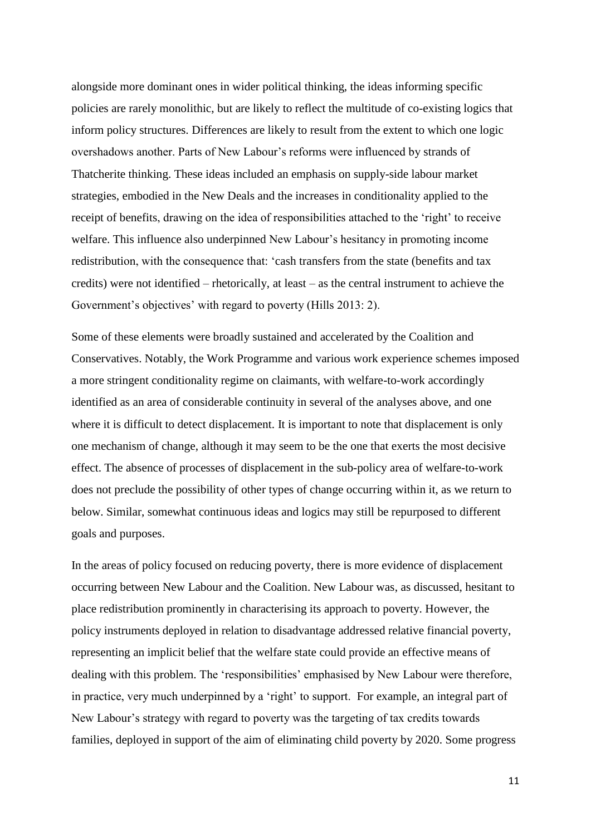alongside more dominant ones in wider political thinking, the ideas informing specific policies are rarely monolithic, but are likely to reflect the multitude of co-existing logics that inform policy structures. Differences are likely to result from the extent to which one logic overshadows another. Parts of New Labour's reforms were influenced by strands of Thatcherite thinking. These ideas included an emphasis on supply-side labour market strategies, embodied in the New Deals and the increases in conditionality applied to the receipt of benefits, drawing on the idea of responsibilities attached to the 'right' to receive welfare. This influence also underpinned New Labour's hesitancy in promoting income redistribution, with the consequence that: 'cash transfers from the state (benefits and tax credits) were not identified – rhetorically, at least – as the central instrument to achieve the Government's objectives' with regard to poverty (Hills 2013: 2).

Some of these elements were broadly sustained and accelerated by the Coalition and Conservatives. Notably, the Work Programme and various work experience schemes imposed a more stringent conditionality regime on claimants, with welfare-to-work accordingly identified as an area of considerable continuity in several of the analyses above, and one where it is difficult to detect displacement. It is important to note that displacement is only one mechanism of change, although it may seem to be the one that exerts the most decisive effect. The absence of processes of displacement in the sub-policy area of welfare-to-work does not preclude the possibility of other types of change occurring within it, as we return to below. Similar, somewhat continuous ideas and logics may still be repurposed to different goals and purposes.

In the areas of policy focused on reducing poverty, there is more evidence of displacement occurring between New Labour and the Coalition. New Labour was, as discussed, hesitant to place redistribution prominently in characterising its approach to poverty. However, the policy instruments deployed in relation to disadvantage addressed relative financial poverty, representing an implicit belief that the welfare state could provide an effective means of dealing with this problem. The 'responsibilities' emphasised by New Labour were therefore, in practice, very much underpinned by a 'right' to support. For example, an integral part of New Labour's strategy with regard to poverty was the targeting of tax credits towards families, deployed in support of the aim of eliminating child poverty by 2020. Some progress

11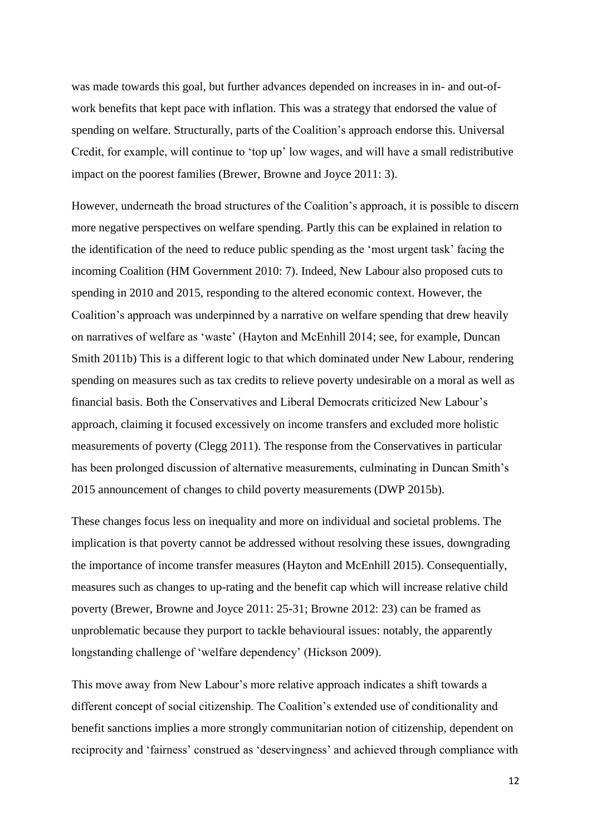was made towards this goal, but further advances depended on increases in in- and out-ofwork benefits that kept pace with inflation. This was a strategy that endorsed the value of spending on welfare. Structurally, parts of the Coalition's approach endorse this. Universal Credit, for example, will continue to 'top up' low wages, and will have a small redistributive impact on the poorest families (Brewer, Browne and Joyce 2011: 3).

However, underneath the broad structures of the Coalition's approach, it is possible to discern more negative perspectives on welfare spending. Partly this can be explained in relation to the identification of the need to reduce public spending as the 'most urgent task' facing the incoming Coalition (HM Government 2010: 7). Indeed, New Labour also proposed cuts to spending in 2010 and 2015, responding to the altered economic context. However, the Coalition's approach was underpinned by a narrative on welfare spending that drew heavily on narratives of welfare as 'waste' (Hayton and McEnhill 2014; see, for example, Duncan Smith 2011b) This is a different logic to that which dominated under New Labour, rendering spending on measures such as tax credits to relieve poverty undesirable on a moral as well as financial basis. Both the Conservatives and Liberal Democrats criticized New Labour's approach, claiming it focused excessively on income transfers and excluded more holistic measurements of poverty (Clegg 2011). The response from the Conservatives in particular has been prolonged discussion of alternative measurements, culminating in Duncan Smith's 2015 announcement of changes to child poverty measurements (DWP 2015b).

These changes focus less on inequality and more on individual and societal problems. The implication is that poverty cannot be addressed without resolving these issues, downgrading the importance of income transfer measures (Hayton and McEnhill 2015). Consequentially, measures such as changes to up-rating and the benefit cap which will increase relative child poverty (Brewer, Browne and Joyce 2011: 25-31; Browne 2012: 23) can be framed as unproblematic because they purport to tackle behavioural issues: notably, the apparently longstanding challenge of 'welfare dependency' (Hickson 2009).

This move away from New Labour's more relative approach indicates a shift towards a different concept of social citizenship. The Coalition's extended use of conditionality and benefit sanctions implies a more strongly communitarian notion of citizenship, dependent on reciprocity and 'fairness' construed as 'deservingness' and achieved through compliance with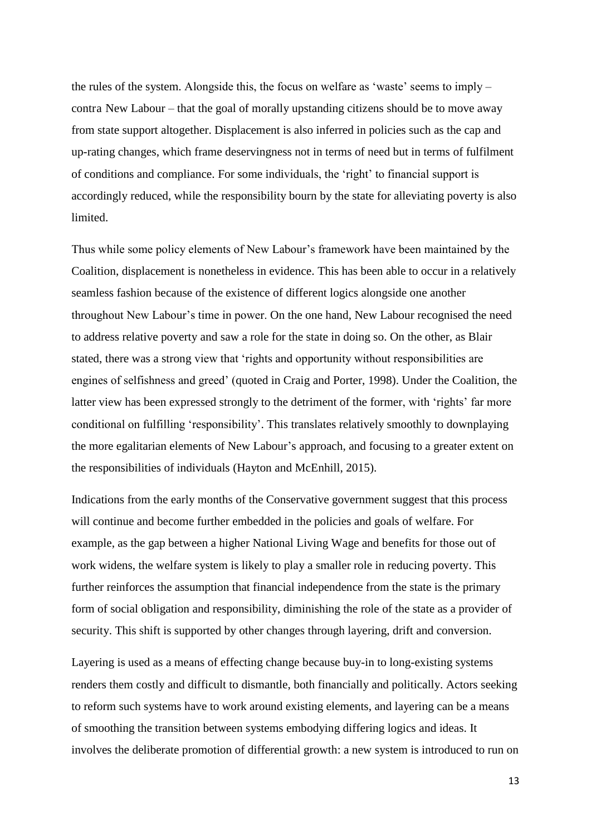the rules of the system. Alongside this, the focus on welfare as 'waste' seems to imply – contra New Labour – that the goal of morally upstanding citizens should be to move away from state support altogether. Displacement is also inferred in policies such as the cap and up-rating changes, which frame deservingness not in terms of need but in terms of fulfilment of conditions and compliance. For some individuals, the 'right' to financial support is accordingly reduced, while the responsibility bourn by the state for alleviating poverty is also limited.

Thus while some policy elements of New Labour's framework have been maintained by the Coalition, displacement is nonetheless in evidence. This has been able to occur in a relatively seamless fashion because of the existence of different logics alongside one another throughout New Labour's time in power. On the one hand, New Labour recognised the need to address relative poverty and saw a role for the state in doing so. On the other, as Blair stated, there was a strong view that 'rights and opportunity without responsibilities are engines of selfishness and greed' (quoted in Craig and Porter, 1998). Under the Coalition, the latter view has been expressed strongly to the detriment of the former, with 'rights' far more conditional on fulfilling 'responsibility'. This translates relatively smoothly to downplaying the more egalitarian elements of New Labour's approach, and focusing to a greater extent on the responsibilities of individuals (Hayton and McEnhill, 2015).

Indications from the early months of the Conservative government suggest that this process will continue and become further embedded in the policies and goals of welfare. For example, as the gap between a higher National Living Wage and benefits for those out of work widens, the welfare system is likely to play a smaller role in reducing poverty. This further reinforces the assumption that financial independence from the state is the primary form of social obligation and responsibility, diminishing the role of the state as a provider of security. This shift is supported by other changes through layering, drift and conversion.

Layering is used as a means of effecting change because buy-in to long-existing systems renders them costly and difficult to dismantle, both financially and politically. Actors seeking to reform such systems have to work around existing elements, and layering can be a means of smoothing the transition between systems embodying differing logics and ideas. It involves the deliberate promotion of differential growth: a new system is introduced to run on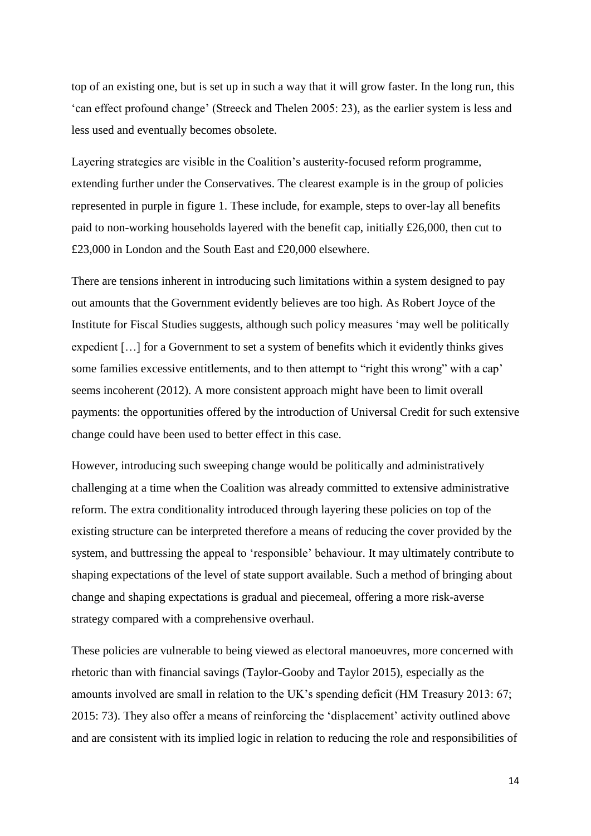top of an existing one, but is set up in such a way that it will grow faster. In the long run, this 'can effect profound change' (Streeck and Thelen 2005: 23), as the earlier system is less and less used and eventually becomes obsolete.

Layering strategies are visible in the Coalition's austerity-focused reform programme, extending further under the Conservatives. The clearest example is in the group of policies represented in purple in figure 1. These include, for example, steps to over-lay all benefits paid to non-working households layered with the benefit cap, initially £26,000, then cut to £23,000 in London and the South East and £20,000 elsewhere.

There are tensions inherent in introducing such limitations within a system designed to pay out amounts that the Government evidently believes are too high. As Robert Joyce of the Institute for Fiscal Studies suggests, although such policy measures 'may well be politically expedient […] for a Government to set a system of benefits which it evidently thinks gives some families excessive entitlements, and to then attempt to "right this wrong" with a cap' seems incoherent (2012). A more consistent approach might have been to limit overall payments: the opportunities offered by the introduction of Universal Credit for such extensive change could have been used to better effect in this case.

However, introducing such sweeping change would be politically and administratively challenging at a time when the Coalition was already committed to extensive administrative reform. The extra conditionality introduced through layering these policies on top of the existing structure can be interpreted therefore a means of reducing the cover provided by the system, and buttressing the appeal to 'responsible' behaviour. It may ultimately contribute to shaping expectations of the level of state support available. Such a method of bringing about change and shaping expectations is gradual and piecemeal, offering a more risk-averse strategy compared with a comprehensive overhaul.

These policies are vulnerable to being viewed as electoral manoeuvres, more concerned with rhetoric than with financial savings (Taylor-Gooby and Taylor 2015), especially as the amounts involved are small in relation to the UK's spending deficit (HM Treasury 2013: 67; 2015: 73). They also offer a means of reinforcing the 'displacement' activity outlined above and are consistent with its implied logic in relation to reducing the role and responsibilities of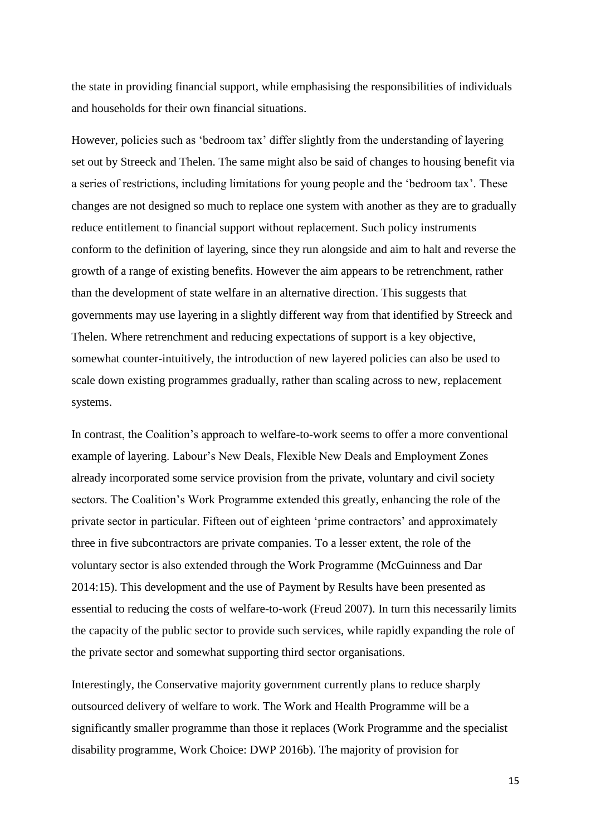the state in providing financial support, while emphasising the responsibilities of individuals and households for their own financial situations.

However, policies such as 'bedroom tax' differ slightly from the understanding of layering set out by Streeck and Thelen. The same might also be said of changes to housing benefit via a series of restrictions, including limitations for young people and the 'bedroom tax'. These changes are not designed so much to replace one system with another as they are to gradually reduce entitlement to financial support without replacement. Such policy instruments conform to the definition of layering, since they run alongside and aim to halt and reverse the growth of a range of existing benefits. However the aim appears to be retrenchment, rather than the development of state welfare in an alternative direction. This suggests that governments may use layering in a slightly different way from that identified by Streeck and Thelen. Where retrenchment and reducing expectations of support is a key objective, somewhat counter-intuitively, the introduction of new layered policies can also be used to scale down existing programmes gradually, rather than scaling across to new, replacement systems.

In contrast, the Coalition's approach to welfare-to-work seems to offer a more conventional example of layering. Labour's New Deals, Flexible New Deals and Employment Zones already incorporated some service provision from the private, voluntary and civil society sectors. The Coalition's Work Programme extended this greatly, enhancing the role of the private sector in particular. Fifteen out of eighteen 'prime contractors' and approximately three in five subcontractors are private companies. To a lesser extent, the role of the voluntary sector is also extended through the Work Programme (McGuinness and Dar 2014:15). This development and the use of Payment by Results have been presented as essential to reducing the costs of welfare-to-work (Freud 2007). In turn this necessarily limits the capacity of the public sector to provide such services, while rapidly expanding the role of the private sector and somewhat supporting third sector organisations.

Interestingly, the Conservative majority government currently plans to reduce sharply outsourced delivery of welfare to work. The Work and Health Programme will be a significantly smaller programme than those it replaces (Work Programme and the specialist disability programme, Work Choice: DWP 2016b). The majority of provision for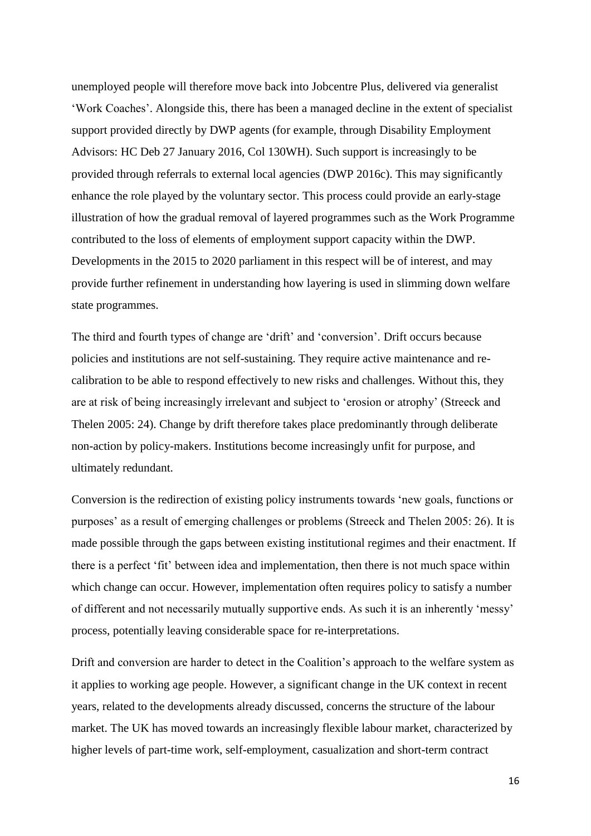unemployed people will therefore move back into Jobcentre Plus, delivered via generalist 'Work Coaches'. Alongside this, there has been a managed decline in the extent of specialist support provided directly by DWP agents (for example, through Disability Employment Advisors: HC Deb 27 January 2016, Col 130WH). Such support is increasingly to be provided through referrals to external local agencies (DWP 2016c). This may significantly enhance the role played by the voluntary sector. This process could provide an early-stage illustration of how the gradual removal of layered programmes such as the Work Programme contributed to the loss of elements of employment support capacity within the DWP. Developments in the 2015 to 2020 parliament in this respect will be of interest, and may provide further refinement in understanding how layering is used in slimming down welfare state programmes.

The third and fourth types of change are 'drift' and 'conversion'. Drift occurs because policies and institutions are not self-sustaining. They require active maintenance and recalibration to be able to respond effectively to new risks and challenges. Without this, they are at risk of being increasingly irrelevant and subject to 'erosion or atrophy' (Streeck and Thelen 2005: 24). Change by drift therefore takes place predominantly through deliberate non-action by policy-makers. Institutions become increasingly unfit for purpose, and ultimately redundant.

Conversion is the redirection of existing policy instruments towards 'new goals, functions or purposes' as a result of emerging challenges or problems (Streeck and Thelen 2005: 26). It is made possible through the gaps between existing institutional regimes and their enactment. If there is a perfect 'fit' between idea and implementation, then there is not much space within which change can occur. However, implementation often requires policy to satisfy a number of different and not necessarily mutually supportive ends. As such it is an inherently 'messy' process, potentially leaving considerable space for re-interpretations.

Drift and conversion are harder to detect in the Coalition's approach to the welfare system as it applies to working age people. However, a significant change in the UK context in recent years, related to the developments already discussed, concerns the structure of the labour market. The UK has moved towards an increasingly flexible labour market, characterized by higher levels of part-time work, self-employment, casualization and short-term contract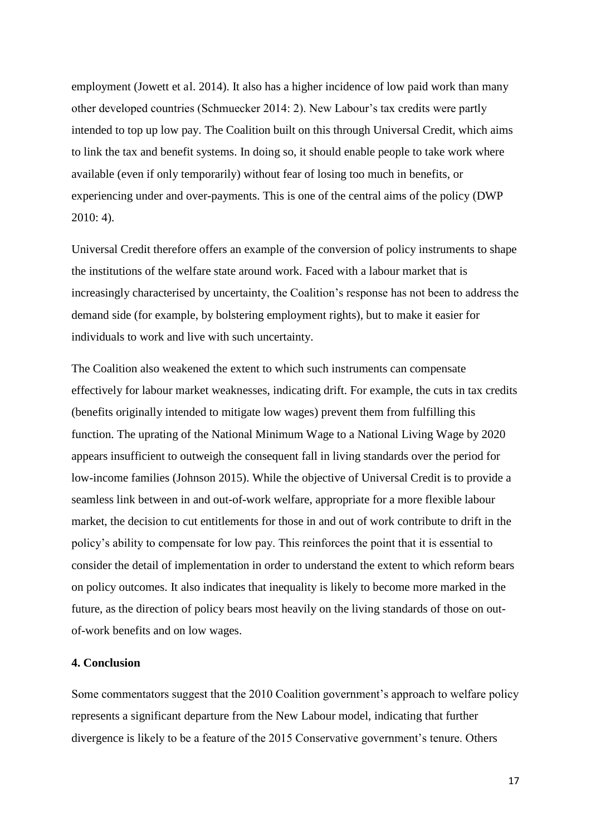employment (Jowett et al. 2014). It also has a higher incidence of low paid work than many other developed countries (Schmuecker 2014: 2). New Labour's tax credits were partly intended to top up low pay. The Coalition built on this through Universal Credit, which aims to link the tax and benefit systems. In doing so, it should enable people to take work where available (even if only temporarily) without fear of losing too much in benefits, or experiencing under and over-payments. This is one of the central aims of the policy (DWP 2010: 4).

Universal Credit therefore offers an example of the conversion of policy instruments to shape the institutions of the welfare state around work. Faced with a labour market that is increasingly characterised by uncertainty, the Coalition's response has not been to address the demand side (for example, by bolstering employment rights), but to make it easier for individuals to work and live with such uncertainty.

The Coalition also weakened the extent to which such instruments can compensate effectively for labour market weaknesses, indicating drift. For example, the cuts in tax credits (benefits originally intended to mitigate low wages) prevent them from fulfilling this function. The uprating of the National Minimum Wage to a National Living Wage by 2020 appears insufficient to outweigh the consequent fall in living standards over the period for low-income families (Johnson 2015). While the objective of Universal Credit is to provide a seamless link between in and out-of-work welfare, appropriate for a more flexible labour market, the decision to cut entitlements for those in and out of work contribute to drift in the policy's ability to compensate for low pay. This reinforces the point that it is essential to consider the detail of implementation in order to understand the extent to which reform bears on policy outcomes. It also indicates that inequality is likely to become more marked in the future, as the direction of policy bears most heavily on the living standards of those on outof-work benefits and on low wages.

#### **4. Conclusion**

Some commentators suggest that the 2010 Coalition government's approach to welfare policy represents a significant departure from the New Labour model, indicating that further divergence is likely to be a feature of the 2015 Conservative government's tenure. Others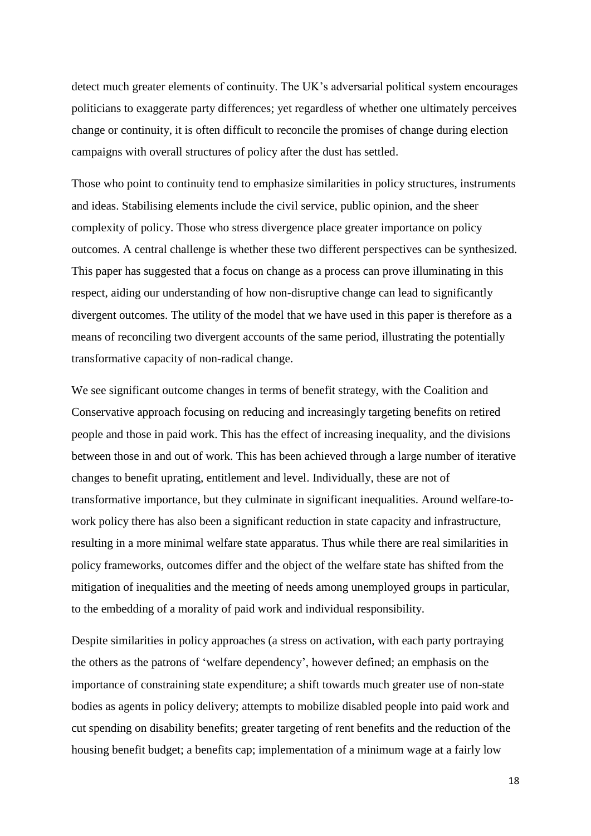detect much greater elements of continuity. The UK's adversarial political system encourages politicians to exaggerate party differences; yet regardless of whether one ultimately perceives change or continuity, it is often difficult to reconcile the promises of change during election campaigns with overall structures of policy after the dust has settled.

Those who point to continuity tend to emphasize similarities in policy structures, instruments and ideas. Stabilising elements include the civil service, public opinion, and the sheer complexity of policy. Those who stress divergence place greater importance on policy outcomes. A central challenge is whether these two different perspectives can be synthesized. This paper has suggested that a focus on change as a process can prove illuminating in this respect, aiding our understanding of how non-disruptive change can lead to significantly divergent outcomes. The utility of the model that we have used in this paper is therefore as a means of reconciling two divergent accounts of the same period, illustrating the potentially transformative capacity of non-radical change.

We see significant outcome changes in terms of benefit strategy, with the Coalition and Conservative approach focusing on reducing and increasingly targeting benefits on retired people and those in paid work. This has the effect of increasing inequality, and the divisions between those in and out of work. This has been achieved through a large number of iterative changes to benefit uprating, entitlement and level. Individually, these are not of transformative importance, but they culminate in significant inequalities. Around welfare-towork policy there has also been a significant reduction in state capacity and infrastructure, resulting in a more minimal welfare state apparatus. Thus while there are real similarities in policy frameworks, outcomes differ and the object of the welfare state has shifted from the mitigation of inequalities and the meeting of needs among unemployed groups in particular, to the embedding of a morality of paid work and individual responsibility.

Despite similarities in policy approaches (a stress on activation, with each party portraying the others as the patrons of 'welfare dependency', however defined; an emphasis on the importance of constraining state expenditure; a shift towards much greater use of non-state bodies as agents in policy delivery; attempts to mobilize disabled people into paid work and cut spending on disability benefits; greater targeting of rent benefits and the reduction of the housing benefit budget; a benefits cap; implementation of a minimum wage at a fairly low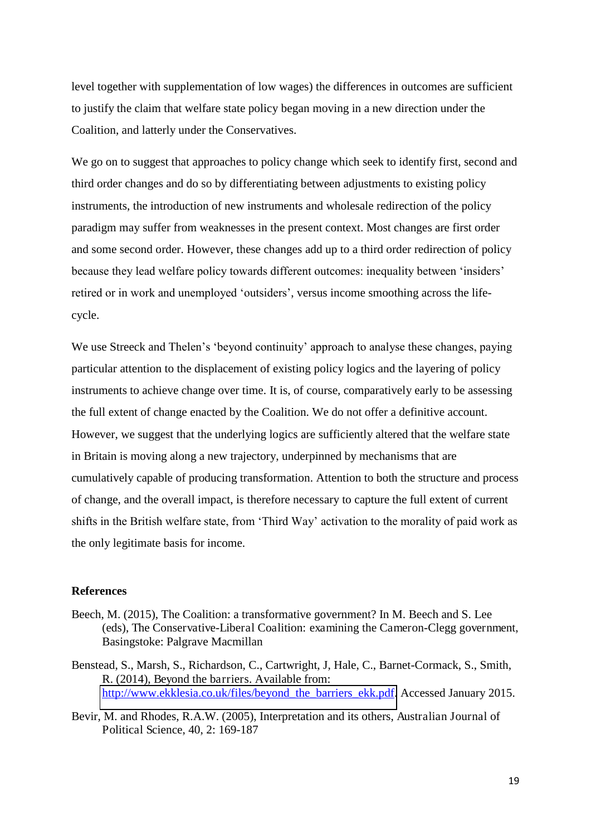level together with supplementation of low wages) the differences in outcomes are sufficient to justify the claim that welfare state policy began moving in a new direction under the Coalition, and latterly under the Conservatives.

We go on to suggest that approaches to policy change which seek to identify first, second and third order changes and do so by differentiating between adjustments to existing policy instruments, the introduction of new instruments and wholesale redirection of the policy paradigm may suffer from weaknesses in the present context. Most changes are first order and some second order. However, these changes add up to a third order redirection of policy because they lead welfare policy towards different outcomes: inequality between 'insiders' retired or in work and unemployed 'outsiders', versus income smoothing across the lifecycle.

We use Streeck and Thelen's 'beyond continuity' approach to analyse these changes, paying particular attention to the displacement of existing policy logics and the layering of policy instruments to achieve change over time. It is, of course, comparatively early to be assessing the full extent of change enacted by the Coalition. We do not offer a definitive account. However, we suggest that the underlying logics are sufficiently altered that the welfare state in Britain is moving along a new trajectory, underpinned by mechanisms that are cumulatively capable of producing transformation. Attention to both the structure and process of change, and the overall impact, is therefore necessary to capture the full extent of current shifts in the British welfare state, from 'Third Way' activation to the morality of paid work as the only legitimate basis for income.

#### **References**

- Beech, M. (2015), The Coalition: a transformative government? In M. Beech and S. Lee (eds), The Conservative-Liberal Coalition: examining the Cameron-Clegg government, Basingstoke: Palgrave Macmillan
- Benstead, S., Marsh, S., Richardson, C., Cartwright, J, Hale, C., Barnet-Cormack, S., Smith, R. (2014), Beyond the barriers. Available from: [http://www.ekklesia.co.uk/files/beyond\\_the\\_barriers\\_ekk.pdf.](http://www.ekklesia.co.uk/files/beyond_the_barriers_ekk.pdf) Accessed January 2015.
- Bevir, M. and Rhodes, R.A.W. (2005), Interpretation and its others, Australian Journal of Political Science, 40, 2: 169-187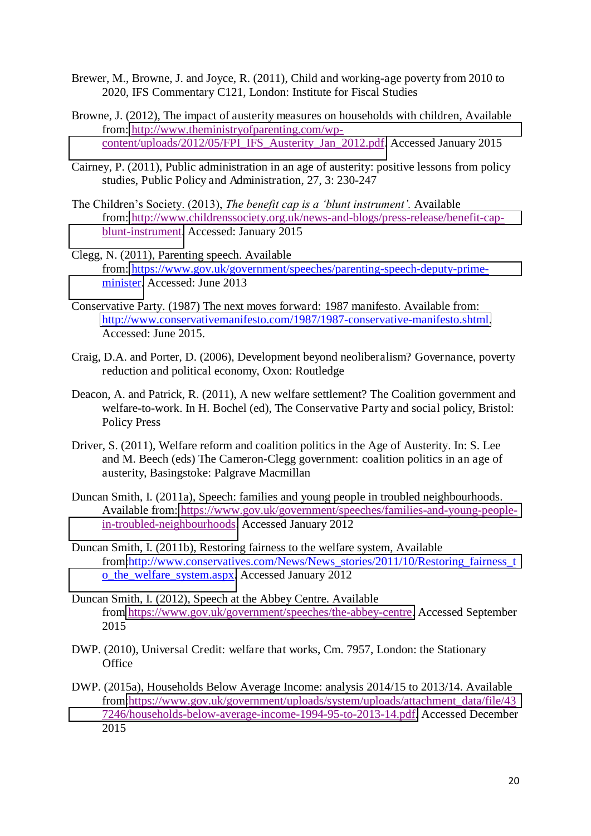- Brewer, M., Browne, J. and Joyce, R. (2011), Child and working-age poverty from 2010 to 2020, IFS Commentary C121, London: Institute for Fiscal Studies
- Browne, J. (2012), The impact of austerity measures on households with children, Available from: [http://www.theministryofparenting.com/wp](http://www.theministryofparenting.com/wp-content/uploads/2012/05/FPI_IFS_Austerity_Jan_2012.pdf)[content/uploads/2012/05/FPI\\_IFS\\_Austerity\\_Jan\\_2012.pdf.](http://www.theministryofparenting.com/wp-content/uploads/2012/05/FPI_IFS_Austerity_Jan_2012.pdf) Accessed January 2015
- Cairney, P. (2011), Public administration in an age of austerity: positive lessons from policy studies, Public Policy and Administration, 27, 3: 230-247
- The Children's Society. (2013), *The benefit cap is a 'blunt instrument'.* Available from: [http://www.childrenssociety.org.uk/news-and-blogs/press-release/benefit-cap](http://www.childrenssociety.org.uk/news-and-blogs/press-release/benefit-cap-blunt-instrument)[blunt-instrument.](http://www.childrenssociety.org.uk/news-and-blogs/press-release/benefit-cap-blunt-instrument) Accessed: January 2015
- Clegg, N. (2011), Parenting speech. Available from: [https://www.gov.uk/government/speeches/parenting-speech-deputy-prime](https://www.gov.uk/government/speeches/parenting-speech-deputy-prime-minister)[minister.](https://www.gov.uk/government/speeches/parenting-speech-deputy-prime-minister) Accessed: June 2013
- Conservative Party. (1987) The next moves forward: 1987 manifesto. Available from: [http://www.conservativemanifesto.com/1987/1987-conservative-manifesto.shtml.](http://www.conservativemanifesto.com/1987/1987-conservative-manifesto.shtml) Accessed: June 2015.
- Craig, D.A. and Porter, D. (2006), Development beyond neoliberalism? Governance, poverty reduction and political economy, Oxon: Routledge
- Deacon, A. and Patrick, R. (2011), A new welfare settlement? The Coalition government and welfare-to-work. In H. Bochel (ed), The Conservative Party and social policy, Bristol: Policy Press
- Driver, S. (2011), Welfare reform and coalition politics in the Age of Austerity. In: S. Lee and M. Beech (eds) The Cameron-Clegg government: coalition politics in an age of austerity, Basingstoke: Palgrave Macmillan
- Duncan Smith, I. (2011a), Speech: families and young people in troubled neighbourhoods. Available from: [https://www.gov.uk/government/speeches/families-and-young-people](https://www.gov.uk/government/speeches/families-and-young-people-in-troubled-neighbourhoods)[in-troubled-neighbourhoods.](https://www.gov.uk/government/speeches/families-and-young-people-in-troubled-neighbourhoods) Accessed January 2012
- Duncan Smith, I. (2011b), Restoring fairness to the welfare system, Available from[:http://www.conservatives.com/News/News\\_stories/2011/10/Restoring\\_fairness\\_t](http://www.conservatives.com/News/News_stories/2011/10/Restoring_fairness_to_the_welfare_system.aspx) [o\\_the\\_welfare\\_system.aspx.](http://www.conservatives.com/News/News_stories/2011/10/Restoring_fairness_to_the_welfare_system.aspx) Accessed January 2012
- Duncan Smith, I. (2012), Speech at the Abbey Centre. Available from [https://www.gov.uk/government/speeches/the-abbey-centre.](https://www.gov.uk/government/speeches/the-abbey-centre) Accessed September 2015
- DWP. (2010), Universal Credit: welfare that works, Cm. 7957, London: the Stationary **Office**
- DWP. (2015a), Households Below Average Income: analysis 2014/15 to 2013/14. Available from[:https://www.gov.uk/government/uploads/system/uploads/attachment\\_data/file/43](https://www.gov.uk/government/uploads/system/uploads/attachment_data/file/437246/households-below-average-income-1994-95-to-2013-14.pdf) [7246/households-below-average-income-1994-95-to-2013-14.pdf.](https://www.gov.uk/government/uploads/system/uploads/attachment_data/file/437246/households-below-average-income-1994-95-to-2013-14.pdf) Accessed December 2015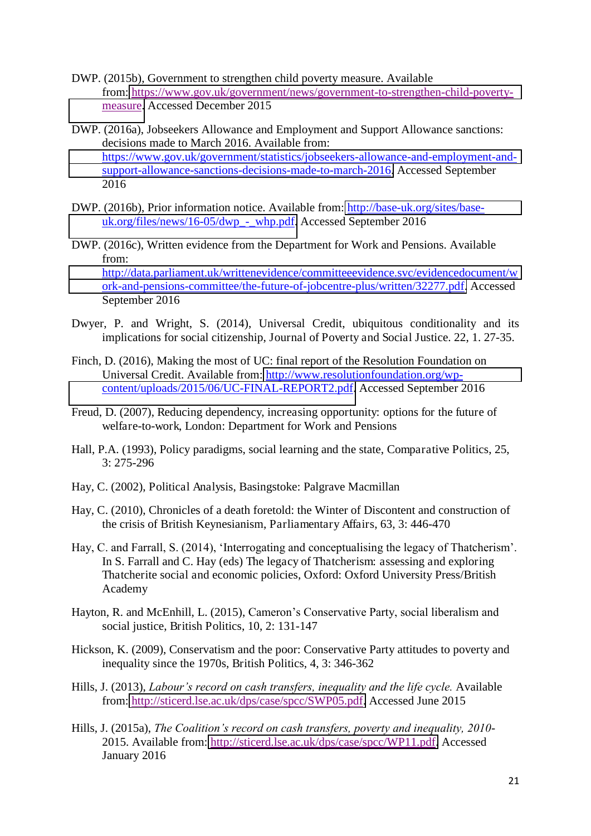- DWP. (2015b), Government to strengthen child poverty measure. Available from: [https://www.gov.uk/government/news/government-to-strengthen-child-poverty](https://www.gov.uk/government/news/government-to-strengthen-child-poverty-measure)[measure.](https://www.gov.uk/government/news/government-to-strengthen-child-poverty-measure) Accessed December 2015
- DWP. (2016a), Jobseekers Allowance and Employment and Support Allowance sanctions: decisions made to March 2016. Available from: [https://www.gov.uk/government/statistics/jobseekers-allowance-and-employment-and](https://www.gov.uk/government/statistics/jobseekers-allowance-and-employment-and-support-allowance-sanctions-decisions-made-to-march-2016)[support-allowance-sanctions-decisions-made-to-march-2016.](https://www.gov.uk/government/statistics/jobseekers-allowance-and-employment-and-support-allowance-sanctions-decisions-made-to-march-2016) Accessed September 2016
- DWP. (2016b), Prior information notice. Available from: [http://base-uk.org/sites/base](http://base-uk.org/sites/base-uk.org/files/news/16-05/dwp_-_whp.pdf)[uk.org/files/news/16-05/dwp\\_-\\_whp.pdf.](http://base-uk.org/sites/base-uk.org/files/news/16-05/dwp_-_whp.pdf) Accessed September 2016
- DWP. (2016c), Written evidence from the Department for Work and Pensions. Available from: [http://data.parliament.uk/writtenevidence/committeeevidence.svc/evidencedocument/w](http://data.parliament.uk/writtenevidence/committeeevidence.svc/evidencedocument/work-and-pensions-committee/the-future-of-jobcentre-plus/written/32277.pdf) [ork-and-pensions-committee/the-future-of-jobcentre-plus/written/32277.pdf.](http://data.parliament.uk/writtenevidence/committeeevidence.svc/evidencedocument/work-and-pensions-committee/the-future-of-jobcentre-plus/written/32277.pdf) Accessed September 2016
- Dwyer, P. and Wright, S. (2014), Universal Credit, ubiquitous conditionality and its implications for social citizenship, Journal of Poverty and Social Justice. 22, 1. 27-35.
- Finch, D. (2016), Making the most of UC: final report of the Resolution Foundation on Universal Credit. Available from: [http://www.resolutionfoundation.org/wp](http://www.resolutionfoundation.org/wp-content/uploads/2015/06/UC-FINAL-REPORT2.pdf)[content/uploads/2015/06/UC-FINAL-REPORT2.pdf.](http://www.resolutionfoundation.org/wp-content/uploads/2015/06/UC-FINAL-REPORT2.pdf) Accessed September 2016
- Freud, D. (2007), Reducing dependency, increasing opportunity: options for the future of welfare-to-work, London: Department for Work and Pensions
- Hall, P.A. (1993), Policy paradigms, social learning and the state, Comparative Politics, 25, 3: 275-296
- Hay, C. (2002), Political Analysis, Basingstoke: Palgrave Macmillan
- Hay, C. (2010), Chronicles of a death foretold: the Winter of Discontent and construction of the crisis of British Keynesianism, Parliamentary Affairs, 63, 3: 446-470
- Hay, C. and Farrall, S. (2014), 'Interrogating and conceptualising the legacy of Thatcherism'. In S. Farrall and C. Hay (eds) The legacy of Thatcherism: assessing and exploring Thatcherite social and economic policies, Oxford: Oxford University Press/British Academy
- Hayton, R. and McEnhill, L. (2015), Cameron's Conservative Party, social liberalism and social justice, British Politics, 10, 2: 131-147
- Hickson, K. (2009), Conservatism and the poor: Conservative Party attitudes to poverty and inequality since the 1970s, British Politics, 4, 3: 346-362
- Hills, J. (2013), *Labour's record on cash transfers, inequality and the life cycle.* Available from: [http://sticerd.lse.ac.uk/dps/case/spcc/SWP05.pdf.](http://sticerd.lse.ac.uk/dps/case/spcc/SWP05.pdf) Accessed June 2015
- Hills, J. (2015a), *The Coalition's record on cash transfers, poverty and inequality, 2010* 2015. Available from: [http://sticerd.lse.ac.uk/dps/case/spcc/WP11.pdf.](http://sticerd.lse.ac.uk/dps/case/spcc/WP11.pdf) Accessed January 2016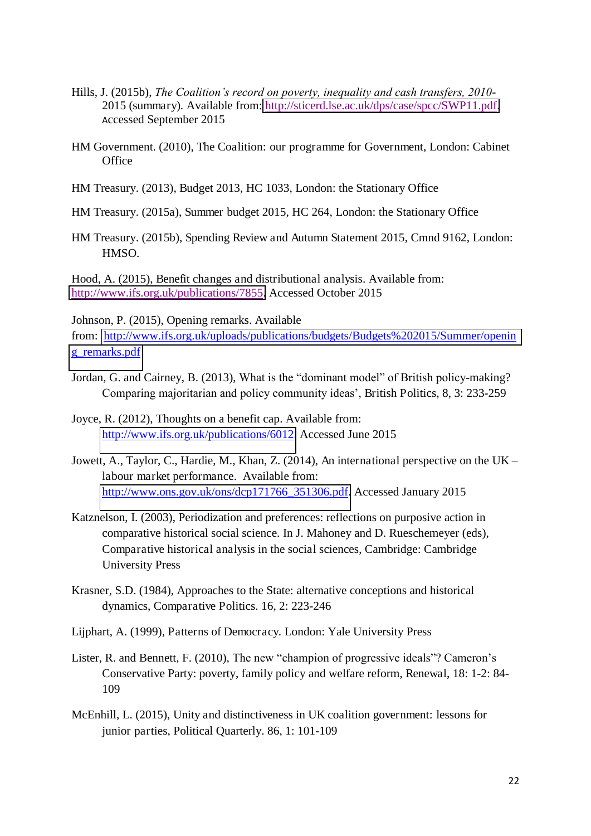- Hills, J. (2015b), *The Coalition's record on poverty, inequality and cash transfers, 2010* 2015 (summary). Available from:<http://sticerd.lse.ac.uk/dps/case/spcc/SWP11.pdf>. Accessed September 2015
- HM Government. (2010), The Coalition: our programme for Government, London: Cabinet **Office**
- HM Treasury. (2013), Budget 2013, HC 1033, London: the Stationary Office
- HM Treasury. (2015a), Summer budget 2015, HC 264, London: the Stationary Office
- HM Treasury. (2015b), Spending Review and Autumn Statement 2015, Cmnd 9162, London: HMSO.

Hood, A. (2015), Benefit changes and distributional analysis. Available from: [http://www.ifs.org.uk/publications/7855.](http://www.ifs.org.uk/publications/7855) Accessed October 2015

Johnson, P. (2015), Opening remarks. Available

from: [http://www.ifs.org.uk/uploads/publications/budgets/Budgets%202015/Summer/openin](http://www.ifs.org.uk/uploads/publications/budgets/Budgets%202015/Summer/opening_remarks.pdf) [g\\_remarks.pdf](http://www.ifs.org.uk/uploads/publications/budgets/Budgets%202015/Summer/opening_remarks.pdf)

- Jordan, G. and Cairney, B. (2013), What is the "dominant model" of British policy-making? Comparing majoritarian and policy community ideas', British Politics, 8, 3: 233-259
- Joyce, R. (2012), Thoughts on a benefit cap. Available from: [http://www.ifs.org.uk/publications/6012.](http://www.ifs.org.uk/publications/6012) Accessed June 2015
- Jowett, A., Taylor, C., Hardie, M., Khan, Z. (2014), An international perspective on the UK *–* labour market performance. Available from: [http://www.ons.gov.uk/ons/dcp171766\\_351306.pdf.](http://www.ons.gov.uk/ons/dcp171766_351306.pdf) Accessed January 2015
- Katznelson, I. (2003), Periodization and preferences: reflections on purposive action in comparative historical social science. In J. Mahoney and D. Rueschemeyer (eds), Comparative historical analysis in the social sciences, Cambridge: Cambridge University Press
- Krasner, S.D. (1984), Approaches to the State: alternative conceptions and historical dynamics, Comparative Politics. 16, 2: 223-246
- Lijphart, A. (1999), Patterns of Democracy. London: Yale University Press
- Lister, R. and Bennett, F. (2010), The new "champion of progressive ideals"? Cameron's Conservative Party: poverty, family policy and welfare reform, Renewal, 18: 1-2: 84- 109
- McEnhill, L. (2015), Unity and distinctiveness in UK coalition government: lessons for junior parties, Political Quarterly. 86, 1: 101-109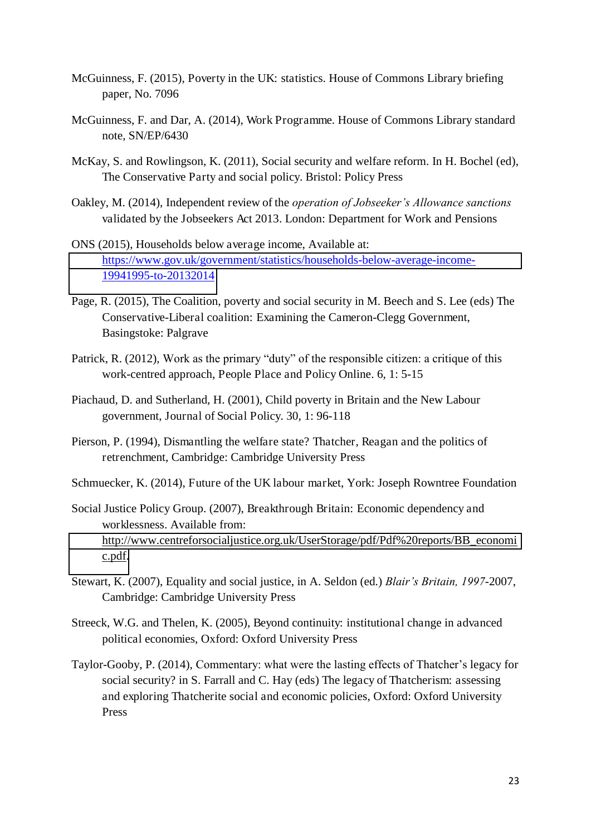- McGuinness, F. (2015), Poverty in the UK: statistics. House of Commons Library briefing paper, No. 7096
- McGuinness, F. and Dar, A. (2014), Work Programme. House of Commons Library standard note, SN/EP/6430
- McKay, S. and Rowlingson, K. (2011), Social security and welfare reform. In H. Bochel (ed), The Conservative Party and social policy. Bristol: Policy Press
- Oakley, M. (2014), Independent review of the *operation of Jobseeker's Allowance sanctions*  validated by the Jobseekers Act 2013. London: Department for Work and Pensions
- ONS (2015), Households below average income, Available at: [https://www.gov.uk/government/statistics/households-below-average-income-](https://www.gov.uk/government/statistics/households-below-average-income-19941995-to-20132014)[19941995-to-20132014](https://www.gov.uk/government/statistics/households-below-average-income-19941995-to-20132014)
- Page, R. (2015), The Coalition, poverty and social security in M. Beech and S. Lee (eds) The Conservative-Liberal coalition: Examining the Cameron-Clegg Government, Basingstoke: Palgrave
- Patrick, R. (2012), Work as the primary "duty" of the responsible citizen: a critique of this work-centred approach, People Place and Policy Online. 6, 1: 5-15
- Piachaud, D. and Sutherland, H. (2001), Child poverty in Britain and the New Labour government, Journal of Social Policy. 30, 1: 96-118
- Pierson, P. (1994), Dismantling the welfare state? Thatcher, Reagan and the politics of retrenchment, Cambridge: Cambridge University Press
- Schmuecker, K. (2014), Future of the UK labour market, York: Joseph Rowntree Foundation
- Social Justice Policy Group. (2007), Breakthrough Britain: Economic dependency and worklessness. Available from: [http://www.centreforsocialjustice.org.uk/UserStorage/pdf/Pdf%20reports/BB\\_economi](http://www.centreforsocialjustice.org.uk/UserStorage/pdf/Pdf%20reports/BB_economic.pdf) [c.pdf.](http://www.centreforsocialjustice.org.uk/UserStorage/pdf/Pdf%20reports/BB_economic.pdf)
- Stewart, K. (2007), Equality and social justice, in A. Seldon (ed.) *Blair's Britain, 1997*-2007, Cambridge: Cambridge University Press
- Streeck, W.G. and Thelen, K. (2005), Beyond continuity: institutional change in advanced political economies, Oxford: Oxford University Press
- Taylor-Gooby, P. (2014), Commentary: what were the lasting effects of Thatcher's legacy for social security? in S. Farrall and C. Hay (eds) The legacy of Thatcherism: assessing and exploring Thatcherite social and economic policies, Oxford: Oxford University Press